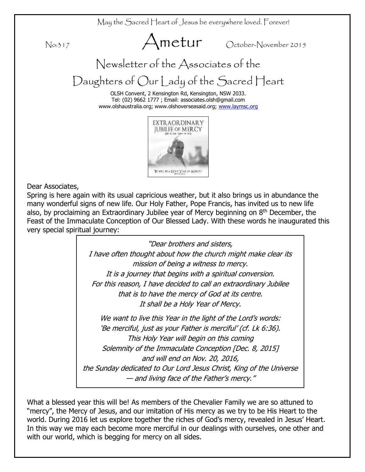May the Sacred Heart of Jesus be everywhere loved. Forever!

No:317 Ametur October-November 2015

Newsletter of the Associates of the

Daughters of Our Lady of the Sacred Heart

OLSH Convent, 2 Kensington Rd, Kensington, NSW 2033. Tel: (02) 9662 1777 ; Email: associates.olsh@gmail.com www.olshaustralia.org; www.olshoverseasaid.org; [www.laymsc.org](http://www.laymsc.org/)



Dear Associates,

Spring is here again with its usual capricious weather, but it also brings us in abundance the many wonderful signs of new life. Our Holy Father, Pope Francis, has invited us to new life also, by proclaiming an Extraordinary Jubilee year of Mercy beginning on  $8<sup>th</sup>$  December, the Feast of the Immaculate Conception of Our Blessed Lady. With these words he inaugurated this very special spiritual journey:

> "Dear brothers and sisters, I have often thought about how the church might make clear its mission of being a witness to mercy. It is a journey that begins with a spiritual conversion. For this reason, I have decided to call an extraordinary Jubilee that is to have the mercy of God at its centre. It shall be a Holy Year of Mercy. We want to live this Year in the light of the Lord's words: 'Be merciful, just as your Father is merciful' (cf. Lk 6:36). This Holy Year will begin on this coming

Solemnity of the Immaculate Conception [Dec. 8, 2015] and will end on Nov. 20, 2016,

the Sunday dedicated to Our Lord Jesus Christ, King of the Universe — and living face of the Father's mercy."

What a blessed year this will be! As members of the Chevalier Family we are so attuned to "mercy", the Mercy of Jesus, and our imitation of His mercy as we try to be His Heart to the world. During 2016 let us explore together the riches of God's mercy, revealed in Jesus' Heart. In this way we may each become more merciful in our dealings with ourselves, one other and with our world, which is begging for mercy on all sides.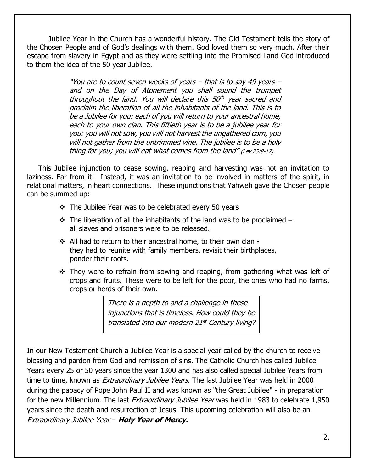Jubilee Year in the Church has a wonderful history. The Old Testament tells the story of the Chosen People and of God's dealings with them. God loved them so very much. After their escape from slavery in Egypt and as they were settling into the Promised Land God introduced to them the idea of the 50 year Jubilee.

> "You are to count seven weeks of years – that is to say 49 years – and on the Day of Atonement you shall sound the trumpet throughout the land. You will declare this 50<sup>th</sup> year sacred and proclaim the liberation of all the inhabitants of the land. This is to be a Jubilee for you: each of you will return to your ancestral home, each to your own clan. This fiftieth year is to be a jubilee year for you: you will not sow, you will not harvest the ungathered corn, you will not gather from the untrimmed vine. The jubilee is to be a holy thing for you; you will eat what comes from the land" (Lev 25:8-12).

 This Jubilee injunction to cease sowing, reaping and harvesting was not an invitation to laziness. Far from it! Instead, it was an invitation to be involved in matters of the spirit, in relational matters, in heart connections. These injunctions that Yahweh gave the Chosen people can be summed up:

- $\div$  The Jubilee Year was to be celebrated every 50 years
- $\div$  The liberation of all the inhabitants of the land was to be proclaimed all slaves and prisoners were to be released.
- All had to return to their ancestral home, to their own clan they had to reunite with family members, revisit their birthplaces, ponder their roots.
- They were to refrain from sowing and reaping, from gathering what was left of crops and fruits. These were to be left for the poor, the ones who had no farms, crops or herds of their own.

There is a depth to and a challenge in these injunctions that is timeless. How could they be translated into our modern 21st Century living?

In our New Testament Church a Jubilee Year is a special year called by the church to receive blessing and pardon from God and remission of sins. The Catholic Church has called Jubilee Years every 25 or 50 years since the year 1300 and has also called special Jubilee Years from time to time, known as *Extraordinary Jubilee Years*. The last Jubilee Year was held in 2000 during the papacy of Pope John Paul II and was known as "the Great Jubilee" - in preparation for the new Millennium. The last *Extraordinary Jubilee Year* was held in 1983 to celebrate 1,950 years since the death and resurrection of Jesus. This upcoming celebration will also be an Extraordinary Jubilee Year – **Holy Year of Mercy.**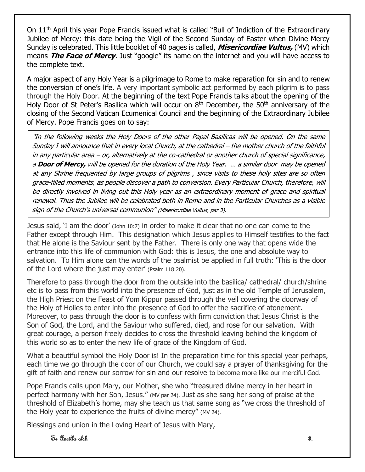On 11<sup>th</sup> April this year Pope Francis issued what is called "Bull of Indiction of the Extraordinary Jubilee of Mercy: this date being the Vigil of the Second Sunday of Easter when Divine Mercy Sunday is celebrated. This little booklet of 40 pages is called, **Misericordiae Vultus,** (MV) which means **The Face of Mercy**. Just "google" its name on the internet and you will have access to the complete text.

A major aspect of any Holy Year is a pilgrimage to Rome to make reparation for sin and to renew the conversion of one's life. A very important symbolic act performed by each pilgrim is to pass through the Holy Door. At the beginning of the text Pope Francis talks about the opening of the Holy Door of St Peter's Basilica which will occur on  $8<sup>th</sup>$  December, the 50<sup>th</sup> anniversary of the closing of the Second Vatican Ecumenical Council and the beginning of the Extraordinary Jubilee of Mercy. Pope Francis goes on to say:

"In the following weeks the Holy Doors of the other Papal Basilicas will be opened. On the same Sunday I will announce that in every local Church, at the cathedral – the mother church of the faithful in any particular area – or, alternatively at the co-cathedral or another church of special significance, <sup>a</sup>**Door of Mercy,** will be opened for the duration of the Holy Year. … a similar door may be opened at any Shrine frequented by large groups of pilgrims , since visits to these holy sites are so often grace-filled moments, as people discover a path to conversion. Every Particular Church, therefore, will be directly involved in living out this Holy year as an extraordinary moment of grace and spiritual renewal. Thus the Jubilee will be celebrated both in Rome and in the Particular Churches as a visible sign of the Church's universal communion" (Misericordiae Vultus, par 3).

Jesus said, 'I am the door' (John 10:7) in order to make it clear that no one can come to the Father except through Him. This designation which Jesus applies to Himself testifies to the fact that He alone is the Saviour sent by the Father. There is only one way that opens wide the entrance into this life of communion with God: this is Jesus, the one and absolute way to salvation. To Him alone can the words of the psalmist be applied in full truth: 'This is the door of the Lord where the just may enter' (Psalm 118:20).

Therefore to pass through the door from the outside into the basilica/ cathedral/ church/shrine etc is to pass from this world into the presence of God, just as in the old Temple of Jerusalem, the High Priest on the Feast of Yom Kippur passed through the veil covering the doorway of the Holy of Holies to enter into the presence of God to offer the sacrifice of atonement. Moreover, to pass through the door is to confess with firm conviction that Jesus Christ is the Son of God, the Lord, and the Saviour who suffered, died, and rose for our salvation. With great courage, a person freely decides to cross the threshold leaving behind the kingdom of this world so as to enter the new life of grace of the Kingdom of God.

What a beautiful symbol the Holy Door is! In the preparation time for this special year perhaps, each time we go through the door of our Church, we could say a prayer of thanksgiving for the gift of faith and renew our sorrow for sin and our resolve to become more like our merciful God.

Pope Francis calls upon Mary, our Mother, she who "treasured divine mercy in her heart in perfect harmony with her Son, Jesus." (MV par 24). Just as she sang her song of praise at the threshold of Elizabeth's home, may she teach us that same song as "we cross the threshold of the Holy year to experience the fruits of divine mercy" (MV 24).

Blessings and union in the Loving Heart of Jesus with Mary,

 $\mathcal{S}_n$  Ancilla olsh  $\mathcal{S}_n$ .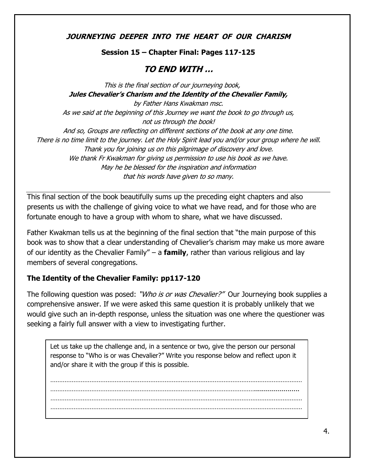**JOURNEYING DEEPER INTO THE HEART OF OUR CHARISM**

## **Session 15 – Chapter Final: Pages 117-125**

## **TO END WITH …**

This is the final section of our journeying book, **Jules Chevalier's Charism and the Identity of the Chevalier Family,**  by Father Hans Kwakman msc. As we said at the beginning of this Journey we want the book to go through us, not us through the book! And so, Groups are reflecting on different sections of the book at any one time. There is no time limit to the journey. Let the Holy Spirit lead you and/or your group where he will. Thank you for joining us on this pilgrimage of discovery and love. We thank Fr Kwakman for giving us permission to use his book as we have. May he be blessed for the inspiration and information that his words have given to so many.

This final section of the book beautifully sums up the preceding eight chapters and also presents us with the challenge of giving voice to what we have read, and for those who are fortunate enough to have a group with whom to share, what we have discussed.

Father Kwakman tells us at the beginning of the final section that "the main purpose of this book was to show that a clear understanding of Chevalier's charism may make us more aware of our identity as the Chevalier Family" – a **family**, rather than various religious and lay members of several congregations.

## **The Identity of the Chevalier Family: pp117-120**

The following question was posed: "*Who is or was Chevalier?"* Our Journeying book supplies a comprehensive answer. If we were asked this same question it is probably unlikely that we would give such an in-depth response, unless the situation was one where the questioner was seeking a fairly full answer with a view to investigating further.

Let us take up the challenge and, in a sentence or two, give the person our personal response to "Who is or was Chevalier?" Write you response below and reflect upon it and/or share it with the group if this is possible.

…………………………………………………………………………………………………………………………… ……………………………………………………………………………………………………....................... …………………………………………………………………………………………………………………………… ……………………………………………………………………………………………………………………………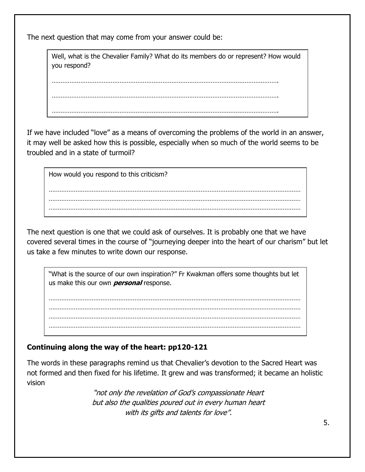The next question that may come from your answer could be:

Well, what is the Chevalier Family? What do its members do or represent? How would you respond?

………………………………………………………………………………………………………………. ………………………………………………………………………………………………………………. ……………………………………………………………………………………………………………….

If we have included "love" as a means of overcoming the problems of the world in an answer, it may well be asked how this is possible, especially when so much of the world seems to be troubled and in a state of turmoil?

How would you respond to this criticism? …………………………………………………………………………………………………………………………… …………………………………………………………………………………………………………………………… …………………………………………………………………………………………………………………………… . The contract of the contract of the contract of the contract of the contract of the contract of the contract of the contract of the contract of the contract of the contract of the contract of the contract of the contrac

The next question is one that we could ask of ourselves. It is probably one that we have covered several times in the course of "journeying deeper into the heart of our charism" but let us take a few minutes to write down our response.

"What is the source of our own inspiration?" Fr Kwakman offers some thoughts but let us make this our own **personal** response.

…………………………………………………………………………………………………………………………… …………………………………………………………………………………………………………………………… …………………………………………………………………………………………………………………………… …………………………………………………………………………………………………………………………… ………………………………………………………………………

## **Continuing along the way of the heart: pp120-121**

The words in these paragraphs remind us that Chevalier's devotion to the Sacred Heart was not formed and then fixed for his lifetime. It grew and was transformed; it became an holistic vision

> "not only the revelation of God's compassionate Heart but also the qualities poured out in every human heart with its gifts and talents for love".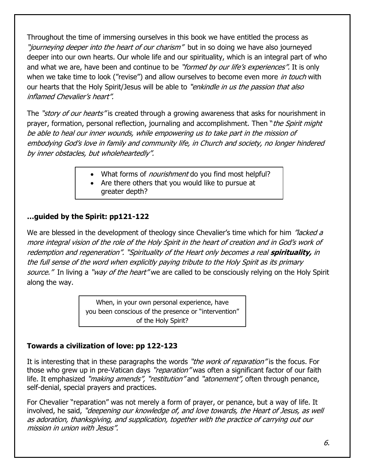Throughout the time of immersing ourselves in this book we have entitled the process as "journeying deeper into the heart of our charism" but in so doing we have also journeyed deeper into our own hearts. Our whole life and our spirituality, which is an integral part of who and what we are, have been and continue to be "formed by our life's experiences". It is only when we take time to look ("revise") and allow ourselves to become even more *in touch* with our hearts that the Holy Spirit/Jesus will be able to "enkindle in us the passion that also inflamed Chevalier's heart".

The "story of our hearts" is created through a growing awareness that asks for nourishment in prayer, formation, personal reflection, journaling and accomplishment. Then "*the Spirit might* be able to heal our inner wounds, while empowering us to take part in the mission of embodying God's love in family and community life, in Church and society, no longer hindered by inner obstacles, but wholeheartedly".

- What forms of *nourishment* do you find most helpful?
- Are there others that you would like to pursue at greater depth?

## **…guided by the Spirit: pp121-122**

We are blessed in the development of theology since Chevalier's time which for him "lacked a more integral vision of the role of the Holy Spirit in the heart of creation and in God's work of redemption and regeneration". "Spirituality of the Heart only becomes a real **spirituality,** in the full sense of the word when explicitly paying tribute to the Holy Spirit as its primary source." In living a "way of the heart" we are called to be consciously relying on the Holy Spirit along the way.

> When, in your own personal experience, have you been conscious of the presence or "intervention" of the Holy Spirit?

## **Towards a civilization of love: pp 122-123**

It is interesting that in these paragraphs the words "*the work of reparation*" is the focus. For those who grew up in pre-Vatican days "reparation" was often a significant factor of our faith life. It emphasized "*making amends",* "restitution" and "atonement", often through penance, self-denial, special prayers and practices.

For Chevalier "reparation" was not merely a form of prayer, or penance, but a way of life. It involved, he said, "*deepening our knowledge of, and love towards, the Heart of Jesus, as well* as adoration, thanksgiving, and supplication, together with the practice of carrying out our mission in union with Jesus".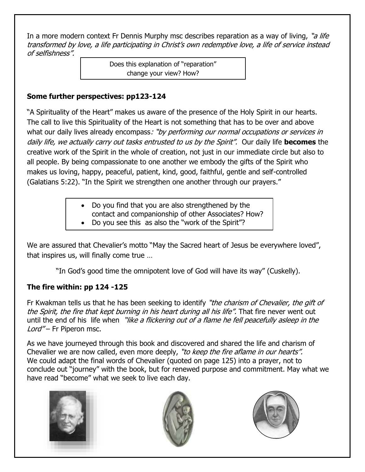In a more modern context Fr Dennis Murphy msc describes reparation as a way of living, "a life transformed by love, a life participating in Christ's own redemptive love, a life of service instead of selfishness".

> Does this explanation of "reparation" change your view? How?

## **Some further perspectives: pp123-124**

"A Spirituality of the Heart" makes us aware of the presence of the Holy Spirit in our hearts. The call to live this Spirituality of the Heart is not something that has to be over and above what our daily lives already encompass: "by performing our normal occupations or services in daily life, we actually carry out tasks entrusted to us by the Spirit". Our daily life **becomes** the creative work of the Spirit in the whole of creation, not just in our immediate circle but also to all people. By being compassionate to one another we embody the gifts of the Spirit who makes us loving, happy, peaceful, patient, kind, good, faithful, gentle and self-controlled (Galatians 5:22). "In the Spirit we strengthen one another through our prayers."

- Do you find that you are also strengthened by the
- contact and companionship of other Associates? How?
- Do you see this as also the "work of the Spirit"?

We are assured that Chevalier's motto "May the Sacred heart of Jesus be everywhere loved", that inspires us, will finally come true …

"In God's good time the omnipotent love of God will have its way" (Cuskelly).

## **The fire within: pp 124 -125**

Fr Kwakman tells us that he has been seeking to identify "the charism of Chevalier, the gift of the Spirit, the fire that kept burning in his heart during all his life". That fire never went out until the end of his life when "like a flickering out of a flame he fell peacefully asleep in the Lord" – Fr Piperon msc.

As we have journeyed through this book and discovered and shared the life and charism of Chevalier we are now called, even more deeply, "to keep the fire aflame in our hearts". We could adapt the final words of Chevalier (quoted on page 125) into a prayer, not to conclude out "journey" with the book, but for renewed purpose and commitment. May what we have read "become" what we seek to live each day.





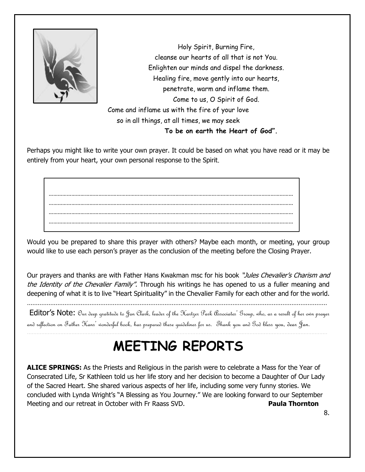

Holy Spirit, Burning Fire, cleanse our hearts of all that is not You. Enlighten our minds and dispel the darkness. Healing fire, move gently into our hearts, penetrate, warm and inflame them. Come to us, O Spirit of God. Come and inflame us with the fire of your love so in all things, at all times, we may seek **To be on earth the Heart of God".** 

Perhaps you might like to write your own prayer. It could be based on what you have read or it may be entirely from your heart, your own personal response to the Spirit.

……………………………………………………………………………………………………………………………………………… ……………………………………………………………………………………………………………………………………………… ……………………………………………………………………………………………………………………………………………… ………………………………………………………………………………………………………………………………………………

Would you be prepared to share this prayer with others? Maybe each month, or meeting, your group would like to use each person's prayer as the conclusion of the meeting before the Closing Prayer.

Our prayers and thanks are with Father Hans Kwakman msc for his book "Jules Chevalier's Charism and the Identity of the Chevalier Family". Through his writings he has opened to us a fuller meaning and deepening of what it is to live "Heart Spirituality" in the Chevalier Family for each other and for the world.

Editor's Note: Our deep gratitude to Jan Clark, leader of the Hartzer Park Associates' Group, who, as a result of her own prayer and reflection on Father Hans' wonderful book, has prepared these guidelines for us. Thank you and God bless you, dear Jan.

## **MEETING REPORTS**

………………………………………………………………………………………………………………………………………………………………………

**ALICE SPRINGS:** As the Priests and Religious in the parish were to celebrate a Mass for the Year of Consecrated Life, Sr Kathleen told us her life story and her decision to become a Daughter of Our Lady of the Sacred Heart. She shared various aspects of her life, including some very funny stories. We concluded with Lynda Wright's "A Blessing as You Journey." We are looking forward to our September Meeting and our retreat in October with Fr Raass SVD. **Paula Thornton**

8.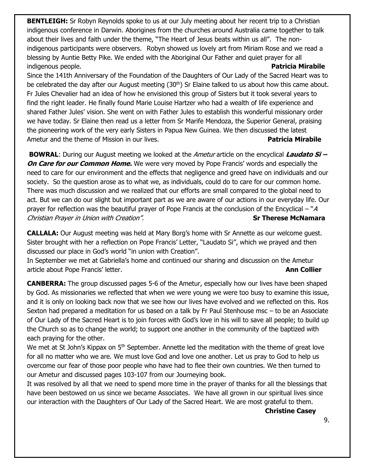**BENTLEIGH:** Sr Robyn Reynolds spoke to us at our July meeting about her recent trip to a Christian indigenous conference in Darwin. Aborigines from the churches around Australia came together to talk about their lives and faith under the theme, "The Heart of Jesus beats within us all". The nonindigenous participants were observers. Robyn showed us lovely art from Miriam Rose and we read a blessing by Auntie Betty Pike. We ended with the Aboriginal Our Father and quiet prayer for all indigenous people. **Patricia Mirabile**

Since the 141th Anniversary of the Foundation of the Daughters of Our Lady of the Sacred Heart was to be celebrated the day after our August meeting (30<sup>th</sup>) Sr Elaine talked to us about how this came about. Fr Jules Chevalier had an idea of how he envisioned this group of Sisters but it took several years to find the right leader. He finally found Marie Louise Hartzer who had a wealth of life experience and shared Father Jules' vision. She went on with Father Jules to establish this wonderful missionary order we have today. Sr Elaine then read us a letter from Sr Marife Mendoza, the Superior General, praising the pioneering work of the very early Sisters in Papua New Guinea. We then discussed the latest Ametur and the theme of Mission in our lives. **Patricia Mirabile**

**BOWRAL**: During our August meeting we looked at the Ametur article on the encyclical **Laudato Si – On Care for our Common Home.** We were very moved by Pope Francis' words and especially the need to care for our environment and the effects that negligence and greed have on individuals and our society. So the question arose as to what we, as individuals, could do to care for our common home. There was much discussion and we realized that our efforts are small compared to the global need to act. But we can do our slight but important part as we are aware of our actions in our everyday life. Our prayer for reflection was the beautiful prayer of Pope Francis at the conclusion of the Encyclical – "A Christian Prayer in Union with Creation". **Sr Therese McNamara**

**CALLALA:** Our August meeting was held at Mary Borg's home with Sr Annette as our welcome guest. Sister brought with her a reflection on Pope Francis' Letter, "Laudato Si", which we prayed and then discussed our place in God's world "in union with Creation".

In September we met at Gabriella's home and continued our sharing and discussion on the Ametur article about Pope Francis' letter. **Ann Collier**

**CANBERRA:** The group discussed pages 5-6 of the Ametur, especially how our lives have been shaped by God. As missionaries we reflected that when we were young we were too busy to examine this issue, and it is only on looking back now that we see how our lives have evolved and we reflected on this. Ros Sexton had prepared a meditation for us based on a talk by Fr Paul Stenhouse msc – to be an Associate of Our Lady of the Sacred Heart is to join forces with God's love in his will to save all people; to build up the Church so as to change the world; to support one another in the community of the baptized with each praying for the other.

We met at St John's Kippax on  $5<sup>th</sup>$  September. Annette led the meditation with the theme of great love for all no matter who we are. We must love God and love one another. Let us pray to God to help us overcome our fear of those poor people who have had to flee their own countries. We then turned to our Ametur and discussed pages 103-107 from our Journeying book.

It was resolved by all that we need to spend more time in the prayer of thanks for all the blessings that have been bestowed on us since we became Associates. We have all grown in our spiritual lives since our interaction with the Daughters of Our Lady of the Sacred Heart. We are most grateful to them.

**Christine Casey**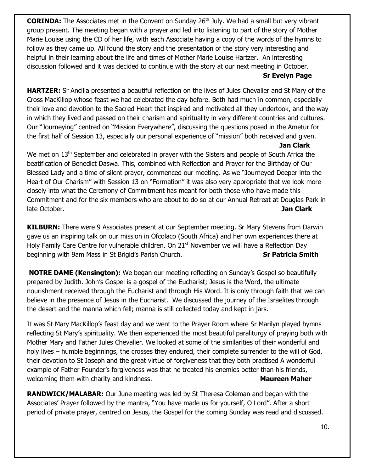**CORINDA:** The Associates met in the Convent on Sunday 26<sup>th</sup> July. We had a small but very vibrant group present. The meeting began with a prayer and led into listening to part of the story of Mother Marie Louise using the CD of her life, with each Associate having a copy of the words of the hymns to follow as they came up. All found the story and the presentation of the story very interesting and helpful in their learning about the life and times of Mother Marie Louise Hartzer. An interesting discussion followed and it was decided to continue with the story at our next meeting in October. **Sr Evelyn Page** 

**HARTZER:** Sr Ancilla presented a beautiful reflection on the lives of Jules Chevalier and St Mary of the Cross MacKillop whose feast we had celebrated the day before. Both had much in common, especially their love and devotion to the Sacred Heart that inspired and motivated all they undertook, and the way in which they lived and passed on their charism and spirituality in very different countries and cultures. Our "Journeying" centred on "Mission Everywhere", discussing the questions posed in the Ametur for the first half of Session 13, especially our personal experience of "mission" both received and given.

#### **Jan Clark**

We met on 13<sup>th</sup> September and celebrated in prayer with the Sisters and people of South Africa the beatification of Benedict Daswa. This, combined with Reflection and Prayer for the Birthday of Our Blessed Lady and a time of silent prayer, commenced our meeting. As we "Journeyed Deeper into the Heart of Our Charism" with Session 13 on "Formation" it was also very appropriate that we look more closely into what the Ceremony of Commitment has meant for both those who have made this Commitment and for the six members who are about to do so at our Annual Retreat at Douglas Park in late October. **Jan Clark**

**KILBURN:** There were 9 Associates present at our September meeting. Sr Mary Stevens from Darwin gave us an inspiring talk on our mission in Ofcolaco (South Africa) and her own experiences there at Holy Family Care Centre for vulnerable children. On 21<sup>st</sup> November we will have a Reflection Day beginning with 9am Mass in St Brigid's Parish Church. **Sr Patricia Smith** 

**NOTRE DAME (Kensington):** We began our meeting reflecting on Sunday's Gospel so beautifully prepared by Judith. John's Gospel is a gospel of the Eucharist; Jesus is the Word, the ultimate nourishment received through the Eucharist and through His Word. It is only through faith that we can believe in the presence of Jesus in the Eucharist. We discussed the journey of the Israelites through the desert and the manna which fell; manna is still collected today and kept in jars.

It was St Mary MacKillop's feast day and we went to the Prayer Room where Sr Marilyn played hymns reflecting St Mary's spirituality. We then experienced the most beautiful paraliturgy of praying both with Mother Mary and Father Jules Chevalier. We looked at some of the similarities of their wonderful and holy lives – humble beginnings, the crosses they endured, their complete surrender to the will of God, their devotion to St Joseph and the great virtue of forgiveness that they both practised A wonderful example of Father Founder's forgiveness was that he treated his enemies better than his friends, welcoming them with charity and kindness. **Manual Communist Communist Communist Communist Communist Communist Communist Communist Communist Communist Communist Communist Communist Communist Communist Communist Communist Co** 

**RANDWICK/MALABAR:** Our June meeting was led by St Theresa Coleman and began with the Associates' Prayer followed by the mantra, "You have made us for yourself, O Lord". After a short period of private prayer, centred on Jesus, the Gospel for the coming Sunday was read and discussed.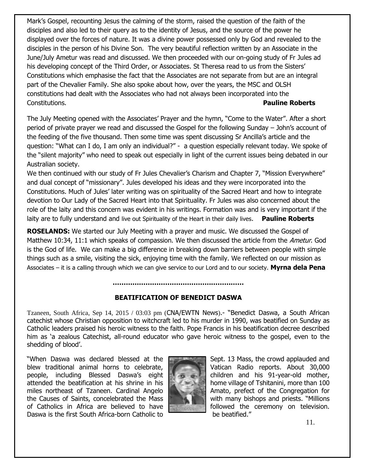Mark's Gospel, recounting Jesus the calming of the storm, raised the question of the faith of the disciples and also led to their query as to the identity of Jesus, and the source of the power he displayed over the forces of nature. It was a divine power possessed only by God and revealed to the disciples in the person of his Divine Son. The very beautiful reflection written by an Associate in the June/July Ametur was read and discussed. We then proceeded with our on-going study of Fr Jules ad his developing concept of the Third Order, or Associates. St Theresa read to us from the Sisters' Constitutions which emphasise the fact that the Associates are not separate from but are an integral part of the Chevalier Family. She also spoke about how, over the years, the MSC and OLSH constitutions had dealt with the Associates who had not always been incorporated into the Constitutions. **Pauline Roberts**

The July Meeting opened with the Associates' Prayer and the hymn, "Come to the Water". After a short period of private prayer we read and discussed the Gospel for the following Sunday – John's account of the feeding of the five thousand. Then some time was spent discussing Sr Ancilla's article and the question: "What can I do, I am only an individual?" - a question especially relevant today. We spoke of the "silent majority" who need to speak out especially in light of the current issues being debated in our Australian society.

We then continued with our study of Fr Jules Chevalier's Charism and Chapter 7, "Mission Everywhere" and dual concept of "missionary". Jules developed his ideas and they were incorporated into the Constitutions. Much of Jules' later writing was on spirituality of the Sacred Heart and how to integrate devotion to Our Lady of the Sacred Heart into that Spirituality. Fr Jules was also concerned about the role of the laity and this concern was evident in his writings. Formation was and is very important if the laity are to fully understand and live out Spirituality of the Heart in their daily lives. **Pauline Roberts**

**ROSELANDS:** We started our July Meeting with a prayer and music. We discussed the Gospel of Matthew 10:34, 11:1 which speaks of compassion. We then discussed the article from the Ametur. God is the God of life. We can make a big difference in breaking down barriers between people with simple things such as a smile, visiting the sick, enjoying time with the family. We reflected on our mission as Associates – it is a calling through which we can give service to our Lord and to our society. **Myrna dela Pena** 

### **BEATIFICATION OF BENEDICT DASWA**

**……………………………………………………**

Tzaneen, South Africa, Sep 14, 2015 / 03:03 pm ([CNA/EWTN News](http://www.catholicnewsagency.com/)).- "Benedict Daswa, a South African catechist whose Christian opposition to witchcraft led to his murder in 1990, was beatified on Sunday as Catholic leaders praised his heroic witness to the faith. Pope Francis in his beatification decree described him as 'a zealous Catechist, all-round educator who gave heroic witness to the gospel, even to the shedding of blood'.

"When Daswa was declared blessed at the Sept. 13 Mass, the crowd applauded and blew traditional animal horns to celebrate, Value of Vatican Radio reports. About 30,000 people, including Blessed Daswa's eight children and his 91-year-old mother, attended the beatification at his shrine in his home village of Tshitanini, more than 100 miles northeast of Tzaneen. Cardinal Angelo **Amato, prefect of the Congregation for** the Causes of Saints, concelebrated the Mass  $\|\cdot\|$  with many bishops and priests. "Millions of Catholics in Africa are believed to have  $\|\cdot\|$  followed the ceremony on television. Daswa is the first South Africa-born Catholic to be beatified."

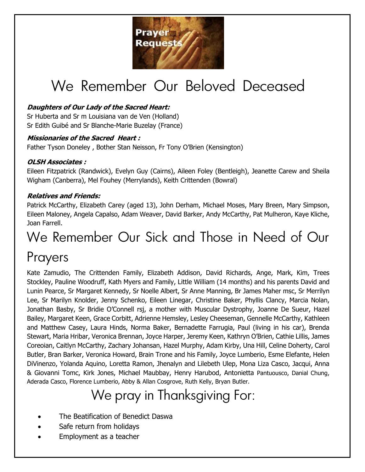

# We Remember Our Beloved Deceased

## **Daughters of Our Lady of the Sacred Heart:**

Sr Huberta and Sr m Louisiana van de Ven (Holland) Sr Edith Guibé and Sr Blanche-Marie Buzelay (France)

### **Missionaries of the Sacred Heart :**

Father Tyson Doneley , Bother Stan Neisson, Fr Tony O'Brien (Kensington)

## **OLSH Associates :**

Eileen Fitzpatrick (Randwick), Evelyn Guy (Cairns), Aileen Foley (Bentleigh), Jeanette Carew and Sheila Wigham (Canberra), Mel Fouhey (Merrylands), Keith Crittenden (Bowral)

## **Relatives and Friends:**

Patrick McCarthy, Elizabeth Carey (aged 13), John Derham, Michael Moses, Mary Breen, Mary Simpson, Eileen Maloney, Angela Capalso, Adam Weaver, David Barker, Andy McCarthy, Pat Mulheron, Kaye Kliche, Joan Farrell.

## We Remember Our Sick and Those in Need of Our Prayers

Kate Zamudio, The Crittenden Family, Elizabeth Addison, David Richards, Ange, Mark, Kim, Trees Stockley, Pauline Woodruff, Kath Myers and Family, Little William (14 months) and his parents David and Lunin Pearce, Sr Margaret Kennedy, Sr Noelle Albert, Sr Anne Manning, Br James Maher msc, Sr Merrilyn Lee, Sr Marilyn Knolder, Jenny Schenko, Eileen Linegar, Christine Baker, Phyllis Clancy, Marcia Nolan, Jonathan Basby, Sr Bridie O'Connell rsj, a mother with Muscular Dystrophy, Joanne De Sueur, Hazel Bailey, Margaret Keen, Grace Corbitt, Adrienne Hemsley, Lesley Cheeseman, Gennelle McCarthy, Kathleen and Matthew Casey, Laura Hinds, Norma Baker, Bernadette Farrugia, Paul (living in his car), Brenda Stewart, Maria Hribar, Veronica Brennan, Joyce Harper, Jeremy Keen, Kathryn O'Brien, Cathie Lillis, James Coreoian, Caitlyn McCarthy, Zachary Johansan, Hazel Murphy, Adam Kirby, Una Hill, Celine Doherty, Carol Butler, Bran Barker, Veronica Howard, Brain Trone and his Family, Joyce Lumberio, Esme Elefante, Helen DiVinenzo, Yolanda Aquino, Loretta Ramon, Jhenalyn and Lilebeth Ulep, Mona Liza Casco, Jacqui, Anna & Giovanni Tomc, Kirk Jones, Michael Maubbay, Henry Harubod, Antonietta Pantuousco, Danial Chung, Aderada Casco, Florence Lumberio, Abby & Allan Cosgrove, Ruth Kelly, Bryan Butler.

## We pray in Thanksgiving For:

- The Beatification of Benedict Daswa
- Safe return from holidays
- Employment as a teacher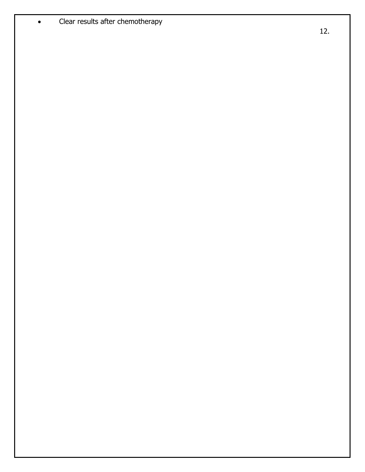• Clear results after chemotherapy

12 .